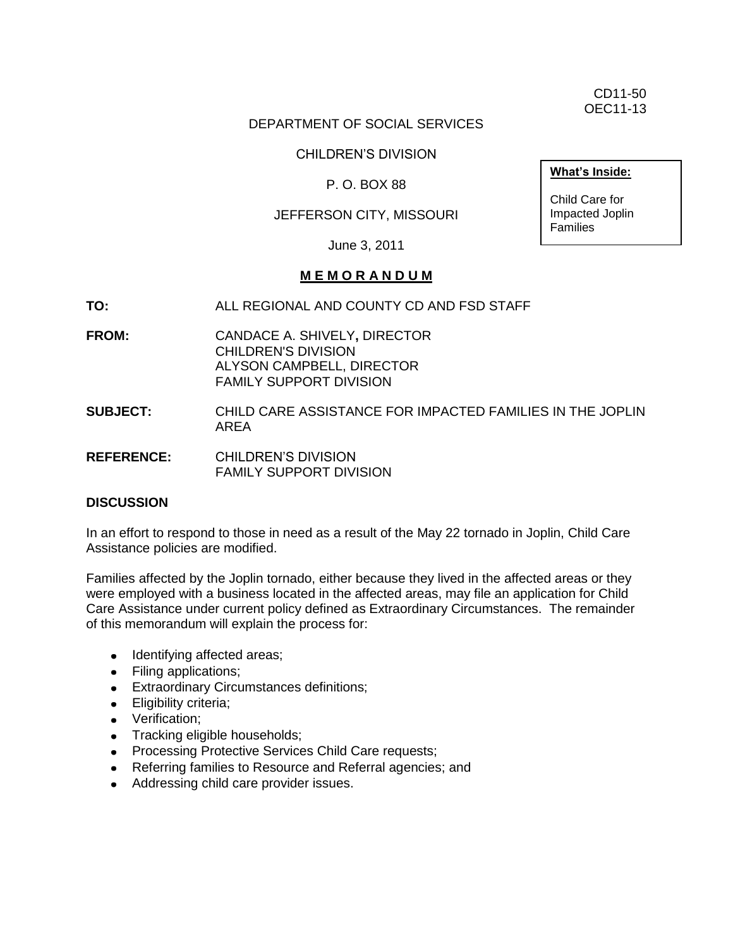CD11-50 OEC11-13

#### DEPARTMENT OF SOCIAL SERVICES

CHILDREN'S DIVISION

#### P. O. BOX 88

#### JEFFERSON CITY, MISSOURI

June 3, 2011

#### **M E M O R A N D U M**

- **TO:** ALL REGIONAL AND COUNTY CD AND FSD STAFF
- **FROM:** CANDACE A. SHIVELY**,** DIRECTOR CHILDREN'S DIVISION ALYSON CAMPBELL, DIRECTOR FAMILY SUPPORT DIVISION
- **SUBJECT:** CHILD CARE ASSISTANCE FOR IMPACTED FAMILIES IN THE JOPLIN AREA
- **REFERENCE:** CHILDREN'S DIVISION FAMILY SUPPORT DIVISION

#### **DISCUSSION**

In an effort to respond to those in need as a result of the May 22 tornado in Joplin, Child Care Assistance policies are modified.

Families affected by the Joplin tornado, either because they lived in the affected areas or they were employed with a business located in the affected areas, may file an application for Child Care Assistance under current policy defined as Extraordinary Circumstances. The remainder of this memorandum will explain the process for:

- Identifying affected areas;
- Filing applications;
- Extraordinary Circumstances definitions;
- **•** Eligibility criteria;
- Verification:
- Tracking eligible households;
- Processing Protective Services Child Care requests;
- Referring families to Resource and Referral agencies; and
- Addressing child care provider issues.

**What's Inside:**

Child Care for Impacted Joplin Families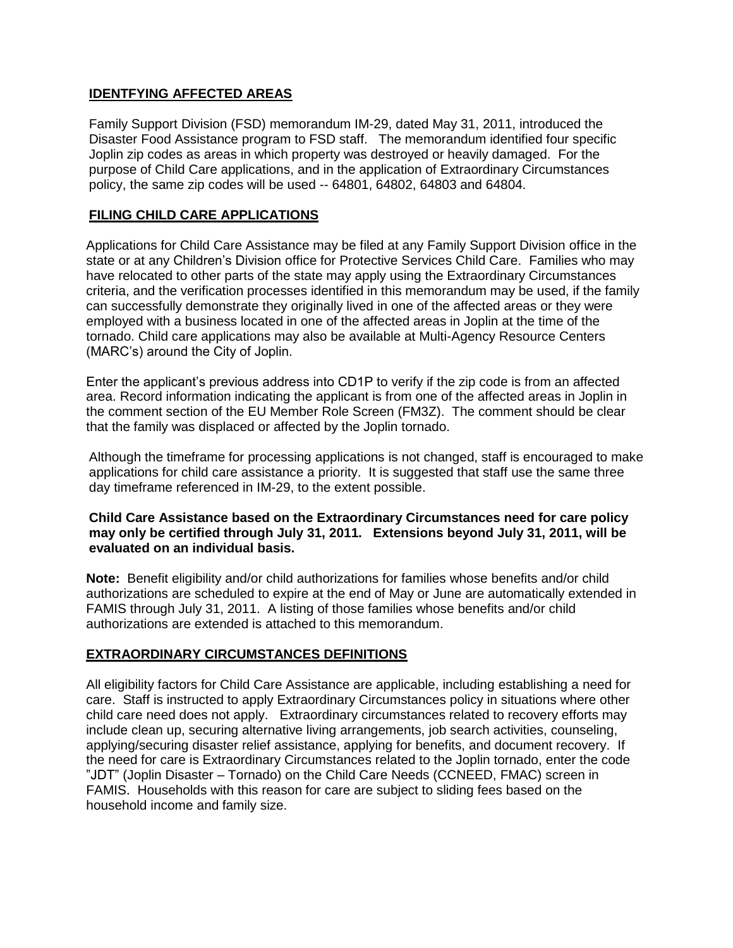# **IDENTFYING AFFECTED AREAS**

Family Support Division (FSD) memorandum IM-29, dated May 31, 2011, introduced the Disaster Food Assistance program to FSD staff. The memorandum identified four specific Joplin zip codes as areas in which property was destroyed or heavily damaged. For the purpose of Child Care applications, and in the application of Extraordinary Circumstances policy, the same zip codes will be used -- 64801, 64802, 64803 and 64804.

### **FILING CHILD CARE APPLICATIONS**

Applications for Child Care Assistance may be filed at any Family Support Division office in the state or at any Children's Division office for Protective Services Child Care. Families who may have relocated to other parts of the state may apply using the Extraordinary Circumstances criteria, and the verification processes identified in this memorandum may be used, if the family can successfully demonstrate they originally lived in one of the affected areas or they were employed with a business located in one of the affected areas in Joplin at the time of the tornado. Child care applications may also be available at Multi-Agency Resource Centers (MARC's) around the City of Joplin.

Enter the applicant's previous address into CD1P to verify if the zip code is from an affected area. Record information indicating the applicant is from one of the affected areas in Joplin in the comment section of the EU Member Role Screen (FM3Z). The comment should be clear that the family was displaced or affected by the Joplin tornado.

Although the timeframe for processing applications is not changed, staff is encouraged to make applications for child care assistance a priority. It is suggested that staff use the same three day timeframe referenced in IM-29, to the extent possible.

#### **Child Care Assistance based on the Extraordinary Circumstances need for care policy may only be certified through July 31, 2011. Extensions beyond July 31, 2011, will be evaluated on an individual basis.**

**Note:** Benefit eligibility and/or child authorizations for families whose benefits and/or child authorizations are scheduled to expire at the end of May or June are automatically extended in FAMIS through July 31, 2011. A listing of those families whose benefits and/or child authorizations are extended is attached to this memorandum.

# **EXTRAORDINARY CIRCUMSTANCES DEFINITIONS**

All eligibility factors for Child Care Assistance are applicable, including establishing a need for care. Staff is instructed to apply Extraordinary Circumstances policy in situations where other child care need does not apply. Extraordinary circumstances related to recovery efforts may include clean up, securing alternative living arrangements, job search activities, counseling, applying/securing disaster relief assistance, applying for benefits, and document recovery. If the need for care is Extraordinary Circumstances related to the Joplin tornado, enter the code "JDT" (Joplin Disaster – Tornado) on the Child Care Needs (CCNEED, FMAC) screen in FAMIS. Households with this reason for care are subject to sliding fees based on the household income and family size.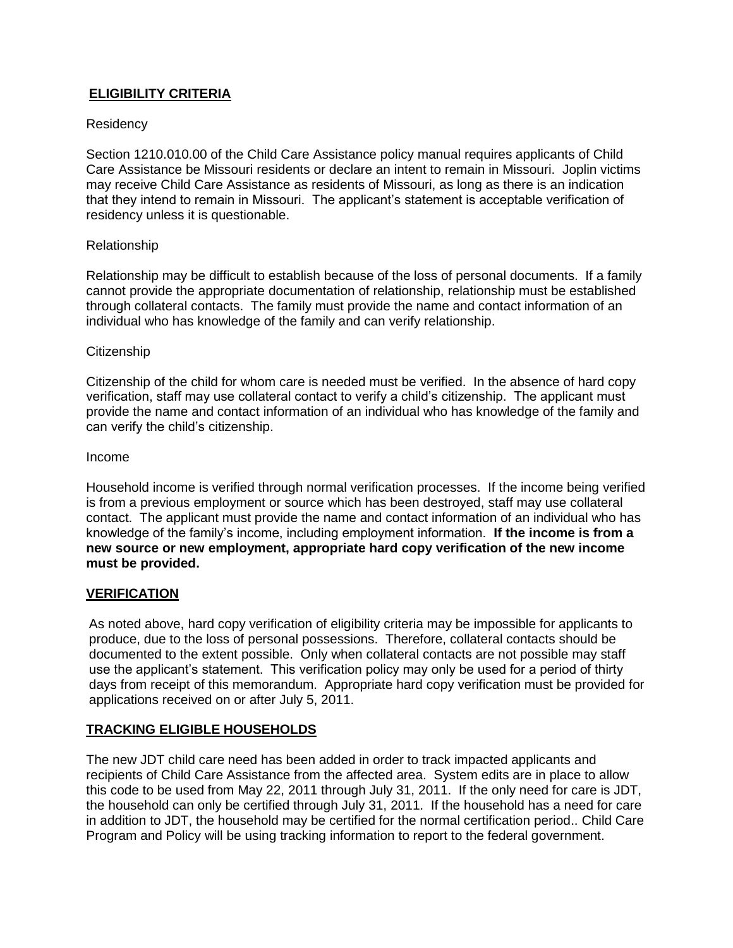# **ELIGIBILITY CRITERIA**

#### **Residency**

Section 1210.010.00 of the Child Care Assistance policy manual requires applicants of Child Care Assistance be Missouri residents or declare an intent to remain in Missouri. Joplin victims may receive Child Care Assistance as residents of Missouri, as long as there is an indication that they intend to remain in Missouri. The applicant's statement is acceptable verification of residency unless it is questionable.

#### Relationship

Relationship may be difficult to establish because of the loss of personal documents. If a family cannot provide the appropriate documentation of relationship, relationship must be established through collateral contacts. The family must provide the name and contact information of an individual who has knowledge of the family and can verify relationship.

#### **Citizenship**

Citizenship of the child for whom care is needed must be verified. In the absence of hard copy verification, staff may use collateral contact to verify a child's citizenship. The applicant must provide the name and contact information of an individual who has knowledge of the family and can verify the child's citizenship.

#### Income

Household income is verified through normal verification processes. If the income being verified is from a previous employment or source which has been destroyed, staff may use collateral contact. The applicant must provide the name and contact information of an individual who has knowledge of the family's income, including employment information. **If the income is from a new source or new employment, appropriate hard copy verification of the new income must be provided.**

#### **VERIFICATION**

As noted above, hard copy verification of eligibility criteria may be impossible for applicants to produce, due to the loss of personal possessions. Therefore, collateral contacts should be documented to the extent possible. Only when collateral contacts are not possible may staff use the applicant's statement. This verification policy may only be used for a period of thirty days from receipt of this memorandum. Appropriate hard copy verification must be provided for applications received on or after July 5, 2011.

#### **TRACKING ELIGIBLE HOUSEHOLDS**

The new JDT child care need has been added in order to track impacted applicants and recipients of Child Care Assistance from the affected area. System edits are in place to allow this code to be used from May 22, 2011 through July 31, 2011. If the only need for care is JDT, the household can only be certified through July 31, 2011. If the household has a need for care in addition to JDT, the household may be certified for the normal certification period.. Child Care Program and Policy will be using tracking information to report to the federal government.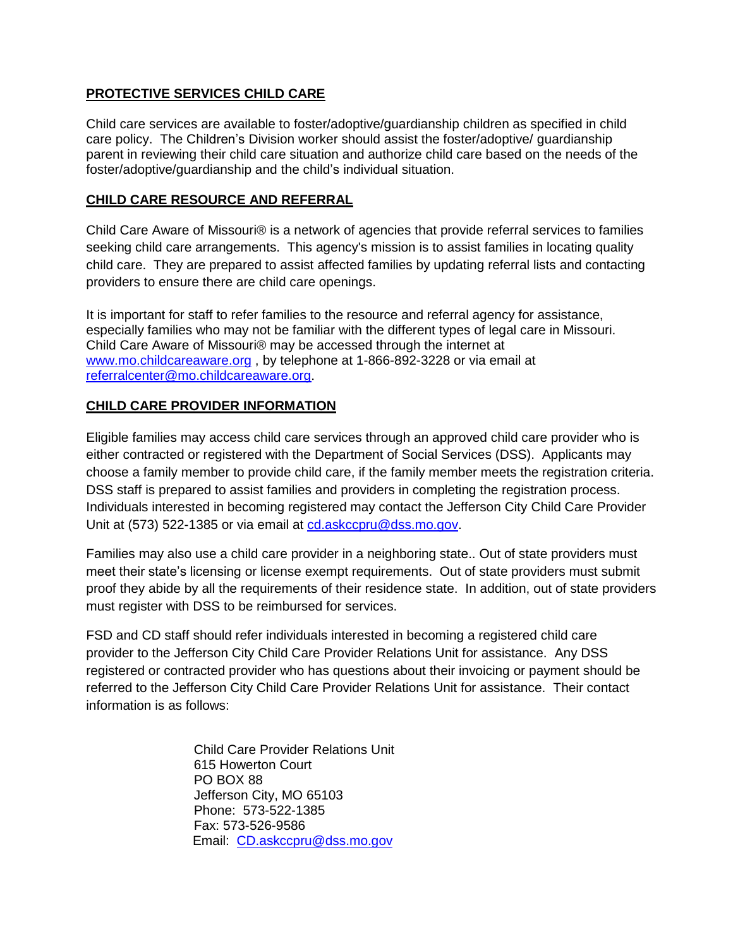# **PROTECTIVE SERVICES CHILD CARE**

Child care services are available to foster/adoptive/guardianship children as specified in child care policy. The Children's Division worker should assist the foster/adoptive/ guardianship parent in reviewing their child care situation and authorize child care based on the needs of the foster/adoptive/guardianship and the child's individual situation.

# **CHILD CARE RESOURCE AND REFERRAL**

Child Care Aware of Missouri® is a network of agencies that provide referral services to families seeking child care arrangements. This agency's mission is to assist families in locating quality child care. They are prepared to assist affected families by updating referral lists and contacting providers to ensure there are child care openings.

It is important for staff to refer families to the resource and referral agency for assistance, especially families who may not be familiar with the different types of legal care in Missouri. Child Care Aware of Missouri® may be accessed through the internet at [www.mo.childcareaware.org](http://www.mo.childcareaware.org/) , by telephone at 1-866-892-3228 or via email at [referralcenter@mo.childcareaware.org](mailto:referralcenter@mo.childcareaware.org).

# **CHILD CARE PROVIDER INFORMATION**

Eligible families may access child care services through an approved child care provider who is either contracted or registered with the Department of Social Services (DSS). Applicants may choose a family member to provide child care, if the family member meets the registration criteria. DSS staff is prepared to assist families and providers in completing the registration process. Individuals interested in becoming registered may contact the Jefferson City Child Care Provider Unit at (573) 522-1385 or via email at [cd.askccpru@dss.mo.gov.](mailto:cd.askccpru@dss.mo.gov)

Families may also use a child care provider in a neighboring state.. Out of state providers must meet their state's licensing or license exempt requirements. Out of state providers must submit proof they abide by all the requirements of their residence state. In addition, out of state providers must register with DSS to be reimbursed for services.

FSD and CD staff should refer individuals interested in becoming a registered child care provider to the Jefferson City Child Care Provider Relations Unit for assistance. Any DSS registered or contracted provider who has questions about their invoicing or payment should be referred to the Jefferson City Child Care Provider Relations Unit for assistance. Their contact information is as follows:

> Child Care Provider Relations Unit 615 Howerton Court PO BOX 88 Jefferson City, MO 65103 Phone: 573-522-1385 Fax: 573-526-9586 Email: [CD.askccpru@dss.mo.gov](mailto:CD.askccpru@dss.mo.gov)